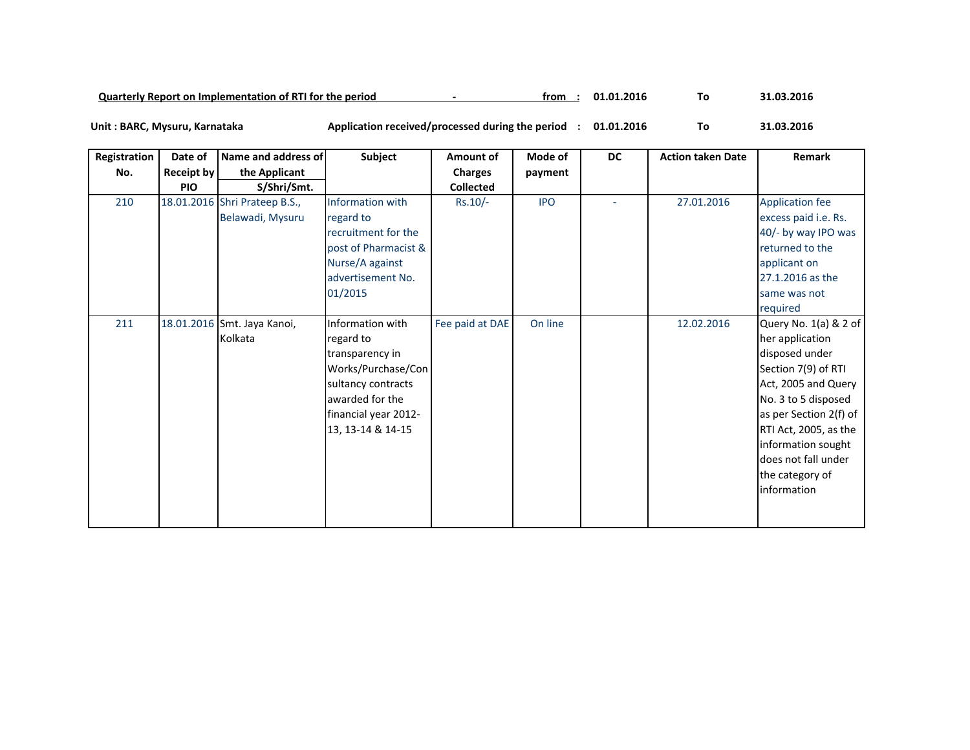| 31.03.2016<br>Quarterly Report on Implementation of RTI for the period<br>01.01.2016<br>trom |  |
|----------------------------------------------------------------------------------------------|--|
|----------------------------------------------------------------------------------------------|--|

Unit : BARC, Mysuru, Karnataka

## **01.01.2016 To 31.03.2016 : BARC, Mysuru, Karnataka Application received/processed during the period :** 31.03.2016

| Registration | Date of           | Name and address of                               | Subject                                                                                                                                                      | Amount of        | Mode of    | <b>DC</b> | <b>Action taken Date</b> | Remark                                                                                                                                                                                                                                                            |
|--------------|-------------------|---------------------------------------------------|--------------------------------------------------------------------------------------------------------------------------------------------------------------|------------------|------------|-----------|--------------------------|-------------------------------------------------------------------------------------------------------------------------------------------------------------------------------------------------------------------------------------------------------------------|
| No.          | <b>Receipt by</b> | the Applicant                                     |                                                                                                                                                              | <b>Charges</b>   | payment    |           |                          |                                                                                                                                                                                                                                                                   |
|              | <b>PIO</b>        | S/Shri/Smt.                                       |                                                                                                                                                              | <b>Collected</b> |            |           |                          |                                                                                                                                                                                                                                                                   |
| 210          |                   | 18.01.2016 Shri Prateep B.S.,<br>Belawadi, Mysuru | Information with<br>regard to<br>recruitment for the<br>post of Pharmacist &<br>Nurse/A against<br>advertisement No.<br>01/2015                              | $Rs.10/-$        | <b>IPO</b> | ٠         | 27.01.2016               | <b>Application fee</b><br>excess paid i.e. Rs.<br>40/- by way IPO was<br>returned to the<br>applicant on<br>27.1.2016 as the<br>same was not<br>required                                                                                                          |
| 211          |                   | 18.01.2016 Smt. Jaya Kanoi,<br>Kolkata            | Information with<br>regard to<br>transparency in<br>Works/Purchase/Con<br>sultancy contracts<br>awarded for the<br>financial year 2012-<br>13, 13-14 & 14-15 | Fee paid at DAE  | On line    |           | 12.02.2016               | Query No. 1(a) & 2 of<br>her application<br>disposed under<br>Section 7(9) of RTI<br>Act, 2005 and Query<br>No. 3 to 5 disposed<br>as per Section 2(f) of<br>RTI Act, 2005, as the<br>information sought<br>does not fall under<br>the category of<br>information |